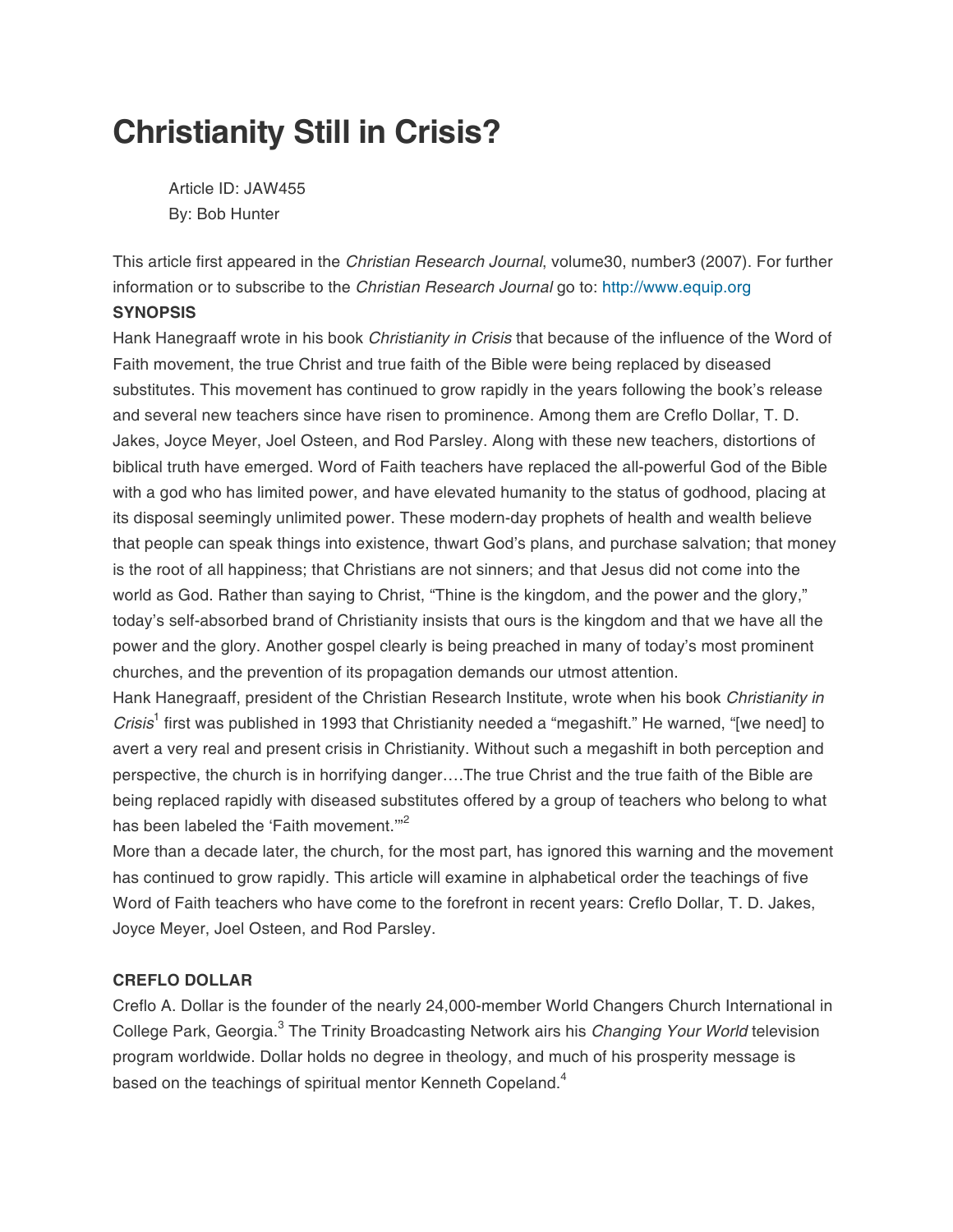# **Christianity Still in Crisis?**

 Article ID: JAW455 By: Bob Hunter

This article first appeared in the *Christian Research Journal*, volume30, number3 (2007). For further information or to subscribe to the Christian Research Journal go to: http://www.equip.org

## **SYNOPSIS**

Hank Hanegraaff wrote in his book Christianity in Crisis that because of the influence of the Word of Faith movement, the true Christ and true faith of the Bible were being replaced by diseased substitutes. This movement has continued to grow rapidly in the years following the book's release and several new teachers since have risen to prominence. Among them are Creflo Dollar, T. D. Jakes, Joyce Meyer, Joel Osteen, and Rod Parsley. Along with these new teachers, distortions of biblical truth have emerged. Word of Faith teachers have replaced the all-powerful God of the Bible with a god who has limited power, and have elevated humanity to the status of godhood, placing at its disposal seemingly unlimited power. These modern-day prophets of health and wealth believe that people can speak things into existence, thwart God's plans, and purchase salvation; that money is the root of all happiness; that Christians are not sinners; and that Jesus did not come into the world as God. Rather than saying to Christ, "Thine is the kingdom, and the power and the glory," today's self-absorbed brand of Christianity insists that ours is the kingdom and that we have all the power and the glory. Another gospel clearly is being preached in many of today's most prominent churches, and the prevention of its propagation demands our utmost attention.

Hank Hanegraaff, president of the Christian Research Institute, wrote when his book Christianity in Crisis<sup>1</sup> first was published in 1993 that Christianity needed a "megashift." He warned, "[we need] to avert a very real and present crisis in Christianity. Without such a megashift in both perception and perspective, the church is in horrifying danger….The true Christ and the true faith of the Bible are being replaced rapidly with diseased substitutes offered by a group of teachers who belong to what has been labeled the 'Faith movement."<sup>2</sup>

More than a decade later, the church, for the most part, has ignored this warning and the movement has continued to grow rapidly. This article will examine in alphabetical order the teachings of five Word of Faith teachers who have come to the forefront in recent years: Creflo Dollar, T. D. Jakes, Joyce Meyer, Joel Osteen, and Rod Parsley.

### **CREFLO DOLLAR**

Creflo A. Dollar is the founder of the nearly 24,000-member World Changers Church International in College Park, Georgia.<sup>3</sup> The Trinity Broadcasting Network airs his Changing Your World television program worldwide. Dollar holds no degree in theology, and much of his prosperity message is based on the teachings of spiritual mentor Kenneth Copeland.<sup>4</sup>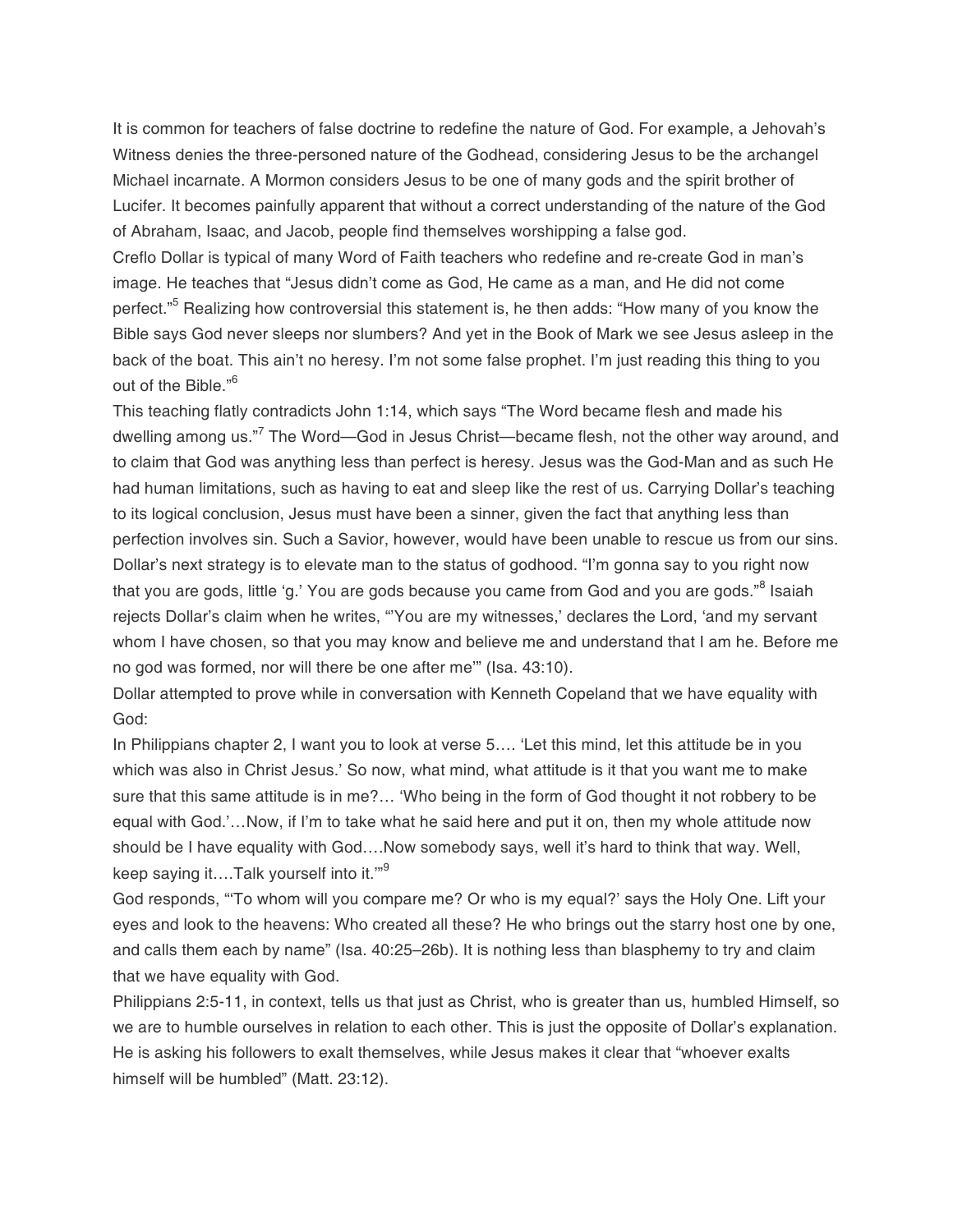It is common for teachers of false doctrine to redefine the nature of God. For example, a Jehovah's Witness denies the three-personed nature of the Godhead, considering Jesus to be the archangel Michael incarnate. A Mormon considers Jesus to be one of many gods and the spirit brother of Lucifer. It becomes painfully apparent that without a correct understanding of the nature of the God of Abraham, Isaac, and Jacob, people find themselves worshipping a false god.

Creflo Dollar is typical of many Word of Faith teachers who redefine and re-create God in man's image. He teaches that "Jesus didn't come as God, He came as a man, and He did not come perfect."<sup>5</sup> Realizing how controversial this statement is, he then adds: "How many of you know the Bible says God never sleeps nor slumbers? And yet in the Book of Mark we see Jesus asleep in the back of the boat. This ain't no heresy. I'm not some false prophet. I'm just reading this thing to you out of the Bible."<sup>6</sup>

This teaching flatly contradicts John 1:14, which says "The Word became flesh and made his dwelling among us."<sup>7</sup> The Word—God in Jesus Christ—became flesh, not the other way around, and to claim that God was anything less than perfect is heresy. Jesus was the God-Man and as such He had human limitations, such as having to eat and sleep like the rest of us. Carrying Dollar's teaching to its logical conclusion, Jesus must have been a sinner, given the fact that anything less than perfection involves sin. Such a Savior, however, would have been unable to rescue us from our sins. Dollar's next strategy is to elevate man to the status of godhood. "I'm gonna say to you right now that you are gods, little 'g.' You are gods because you came from God and you are gods."<sup>8</sup> Isaiah rejects Dollar's claim when he writes, "'You are my witnesses,' declares the Lord, 'and my servant whom I have chosen, so that you may know and believe me and understand that I am he. Before me no god was formed, nor will there be one after me'" (Isa. 43:10).

Dollar attempted to prove while in conversation with Kenneth Copeland that we have equality with God:

In Philippians chapter 2, I want you to look at verse 5…. 'Let this mind, let this attitude be in you which was also in Christ Jesus.' So now, what mind, what attitude is it that you want me to make sure that this same attitude is in me?… 'Who being in the form of God thought it not robbery to be equal with God.'…Now, if I'm to take what he said here and put it on, then my whole attitude now should be I have equality with God….Now somebody says, well it's hard to think that way. Well, keep saying it....Talk yourself into it."<sup>9</sup>

God responds, "'To whom will you compare me? Or who is my equal?' says the Holy One. Lift your eyes and look to the heavens: Who created all these? He who brings out the starry host one by one, and calls them each by name" (Isa. 40:25–26b). It is nothing less than blasphemy to try and claim that we have equality with God.

Philippians 2:5-11, in context, tells us that just as Christ, who is greater than us, humbled Himself, so we are to humble ourselves in relation to each other. This is just the opposite of Dollar's explanation. He is asking his followers to exalt themselves, while Jesus makes it clear that "whoever exalts himself will be humbled" (Matt. 23:12).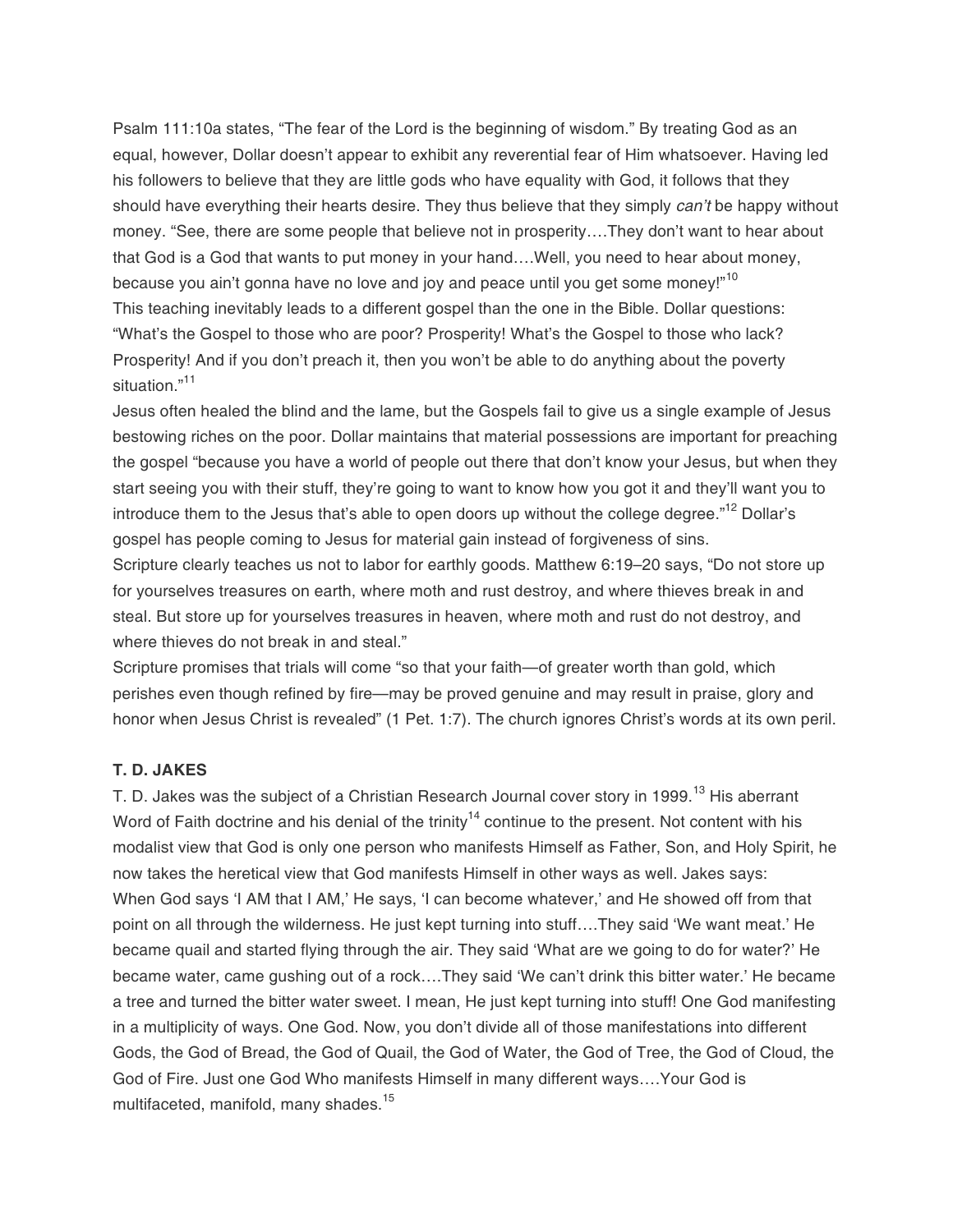Psalm 111:10a states, "The fear of the Lord is the beginning of wisdom." By treating God as an equal, however, Dollar doesn't appear to exhibit any reverential fear of Him whatsoever. Having led his followers to believe that they are little gods who have equality with God, it follows that they should have everything their hearts desire. They thus believe that they simply can't be happy without money. "See, there are some people that believe not in prosperity….They don't want to hear about that God is a God that wants to put money in your hand….Well, you need to hear about money, because you ain't gonna have no love and joy and peace until you get some money!"<sup>10</sup> This teaching inevitably leads to a different gospel than the one in the Bible. Dollar questions: "What's the Gospel to those who are poor? Prosperity! What's the Gospel to those who lack? Prosperity! And if you don't preach it, then you won't be able to do anything about the poverty situation."<sup>11</sup>

Jesus often healed the blind and the lame, but the Gospels fail to give us a single example of Jesus bestowing riches on the poor. Dollar maintains that material possessions are important for preaching the gospel "because you have a world of people out there that don't know your Jesus, but when they start seeing you with their stuff, they're going to want to know how you got it and they'll want you to introduce them to the Jesus that's able to open doors up without the college degree."<sup>12</sup> Dollar's gospel has people coming to Jesus for material gain instead of forgiveness of sins.

Scripture clearly teaches us not to labor for earthly goods. Matthew 6:19–20 says, "Do not store up for yourselves treasures on earth, where moth and rust destroy, and where thieves break in and steal. But store up for yourselves treasures in heaven, where moth and rust do not destroy, and where thieves do not break in and steal."

Scripture promises that trials will come "so that your faith—of greater worth than gold, which perishes even though refined by fire—may be proved genuine and may result in praise, glory and honor when Jesus Christ is revealed" (1 Pet. 1:7). The church ignores Christ's words at its own peril.

#### **T. D. JAKES**

T. D. Jakes was the subject of a Christian Research Journal cover story in 1999.<sup>13</sup> His aberrant Word of Faith doctrine and his denial of the trinity<sup>14</sup> continue to the present. Not content with his modalist view that God is only one person who manifests Himself as Father, Son, and Holy Spirit, he now takes the heretical view that God manifests Himself in other ways as well. Jakes says: When God says 'I AM that I AM,' He says, 'I can become whatever,' and He showed off from that point on all through the wilderness. He just kept turning into stuff….They said 'We want meat.' He became quail and started flying through the air. They said 'What are we going to do for water?' He became water, came gushing out of a rock….They said 'We can't drink this bitter water.' He became a tree and turned the bitter water sweet. I mean, He just kept turning into stuff! One God manifesting in a multiplicity of ways. One God. Now, you don't divide all of those manifestations into different Gods, the God of Bread, the God of Quail, the God of Water, the God of Tree, the God of Cloud, the God of Fire. Just one God Who manifests Himself in many different ways….Your God is multifaceted, manifold, many shades.<sup>15</sup>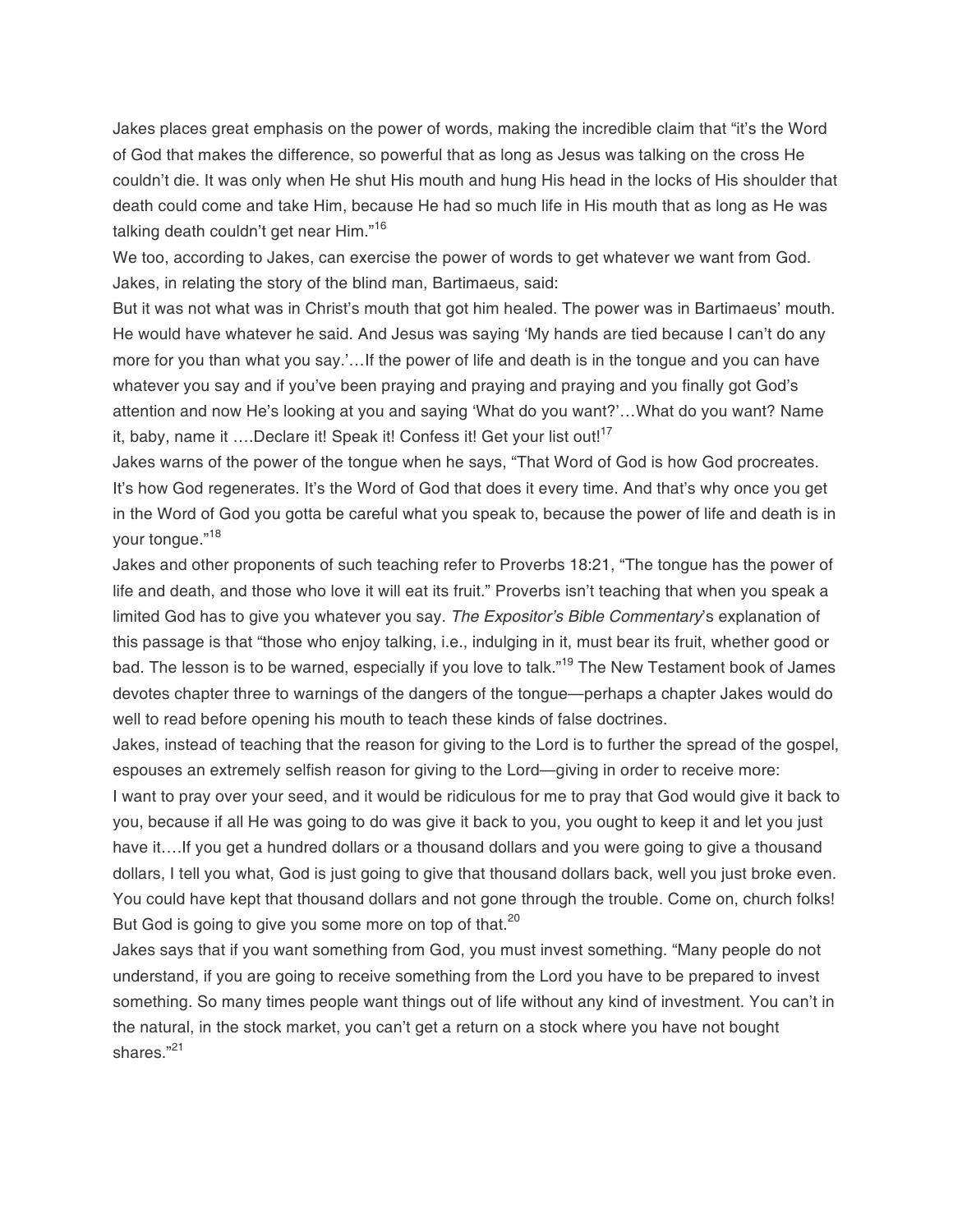Jakes places great emphasis on the power of words, making the incredible claim that "it's the Word of God that makes the difference, so powerful that as long as Jesus was talking on the cross He couldn't die. It was only when He shut His mouth and hung His head in the locks of His shoulder that death could come and take Him, because He had so much life in His mouth that as long as He was talking death couldn't get near Him."<sup>16</sup>

We too, according to Jakes, can exercise the power of words to get whatever we want from God. Jakes, in relating the story of the blind man, Bartimaeus, said:

But it was not what was in Christ's mouth that got him healed. The power was in Bartimaeus' mouth. He would have whatever he said. And Jesus was saying 'My hands are tied because I can't do any more for you than what you say.'…If the power of life and death is in the tongue and you can have whatever you say and if you've been praying and praying and praying and you finally got God's attention and now He's looking at you and saying 'What do you want?'…What do you want? Name it, baby, name it ....Declare it! Speak it! Confess it! Get your list out!<sup>17</sup>

Jakes warns of the power of the tongue when he says, "That Word of God is how God procreates. It's how God regenerates. It's the Word of God that does it every time. And that's why once you get in the Word of God you gotta be careful what you speak to, because the power of life and death is in your tongue."<sup>18</sup>

Jakes and other proponents of such teaching refer to Proverbs 18:21, "The tongue has the power of life and death, and those who love it will eat its fruit." Proverbs isn't teaching that when you speak a limited God has to give you whatever you say. The Expositor's Bible Commentary's explanation of this passage is that "those who enjoy talking, i.e., indulging in it, must bear its fruit, whether good or bad. The lesson is to be warned, especially if you love to talk."<sup>19</sup> The New Testament book of James devotes chapter three to warnings of the dangers of the tongue—perhaps a chapter Jakes would do well to read before opening his mouth to teach these kinds of false doctrines.

Jakes, instead of teaching that the reason for giving to the Lord is to further the spread of the gospel, espouses an extremely selfish reason for giving to the Lord—giving in order to receive more:

I want to pray over your seed, and it would be ridiculous for me to pray that God would give it back to you, because if all He was going to do was give it back to you, you ought to keep it and let you just have it....If you get a hundred dollars or a thousand dollars and you were going to give a thousand dollars, I tell you what, God is just going to give that thousand dollars back, well you just broke even. You could have kept that thousand dollars and not gone through the trouble. Come on, church folks! But God is going to give you some more on top of that.<sup>20</sup>

Jakes says that if you want something from God, you must invest something. "Many people do not understand, if you are going to receive something from the Lord you have to be prepared to invest something. So many times people want things out of life without any kind of investment. You can't in the natural, in the stock market, you can't get a return on a stock where you have not bought shares."<sup>21</sup>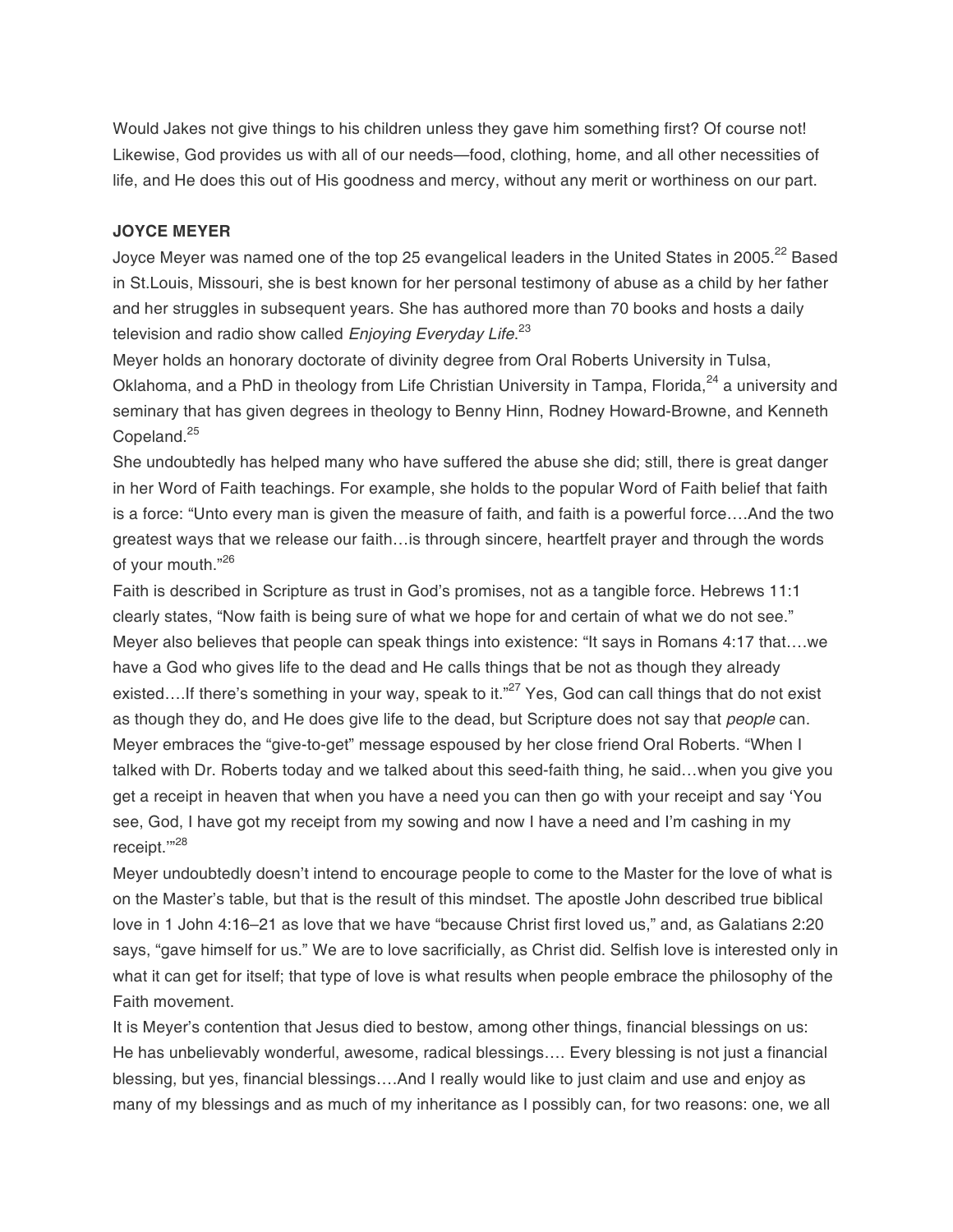Would Jakes not give things to his children unless they gave him something first? Of course not! Likewise, God provides us with all of our needs—food, clothing, home, and all other necessities of life, and He does this out of His goodness and mercy, without any merit or worthiness on our part.

#### **JOYCE MEYER**

Joyce Meyer was named one of the top 25 evangelical leaders in the United States in 2005.<sup>22</sup> Based in St.Louis, Missouri, she is best known for her personal testimony of abuse as a child by her father and her struggles in subsequent years. She has authored more than 70 books and hosts a daily television and radio show called *Enjoying Everyday Life*.<sup>23</sup>

Meyer holds an honorary doctorate of divinity degree from Oral Roberts University in Tulsa, Oklahoma, and a PhD in theology from Life Christian University in Tampa, Florida,<sup>24</sup> a university and seminary that has given degrees in theology to Benny Hinn, Rodney Howard-Browne, and Kenneth Copeland.<sup>25</sup>

She undoubtedly has helped many who have suffered the abuse she did; still, there is great danger in her Word of Faith teachings. For example, she holds to the popular Word of Faith belief that faith is a force: "Unto every man is given the measure of faith, and faith is a powerful force….And the two greatest ways that we release our faith…is through sincere, heartfelt prayer and through the words of your mouth."26

Faith is described in Scripture as trust in God's promises, not as a tangible force. Hebrews 11:1 clearly states, "Now faith is being sure of what we hope for and certain of what we do not see." Meyer also believes that people can speak things into existence: "It says in Romans 4:17 that….we have a God who gives life to the dead and He calls things that be not as though they already existed....If there's something in your way, speak to it."<sup>27</sup> Yes, God can call things that do not exist as though they do, and He does give life to the dead, but Scripture does not say that people can. Meyer embraces the "give-to-get" message espoused by her close friend Oral Roberts. "When I talked with Dr. Roberts today and we talked about this seed-faith thing, he said…when you give you get a receipt in heaven that when you have a need you can then go with your receipt and say 'You see, God, I have got my receipt from my sowing and now I have a need and I'm cashing in my receipt."<sup>28</sup>

Meyer undoubtedly doesn't intend to encourage people to come to the Master for the love of what is on the Master's table, but that is the result of this mindset. The apostle John described true biblical love in 1 John 4:16–21 as love that we have "because Christ first loved us," and, as Galatians 2:20 says, "gave himself for us." We are to love sacrificially, as Christ did. Selfish love is interested only in what it can get for itself; that type of love is what results when people embrace the philosophy of the Faith movement.

It is Meyer's contention that Jesus died to bestow, among other things, financial blessings on us: He has unbelievably wonderful, awesome, radical blessings…. Every blessing is not just a financial blessing, but yes, financial blessings….And I really would like to just claim and use and enjoy as many of my blessings and as much of my inheritance as I possibly can, for two reasons: one, we all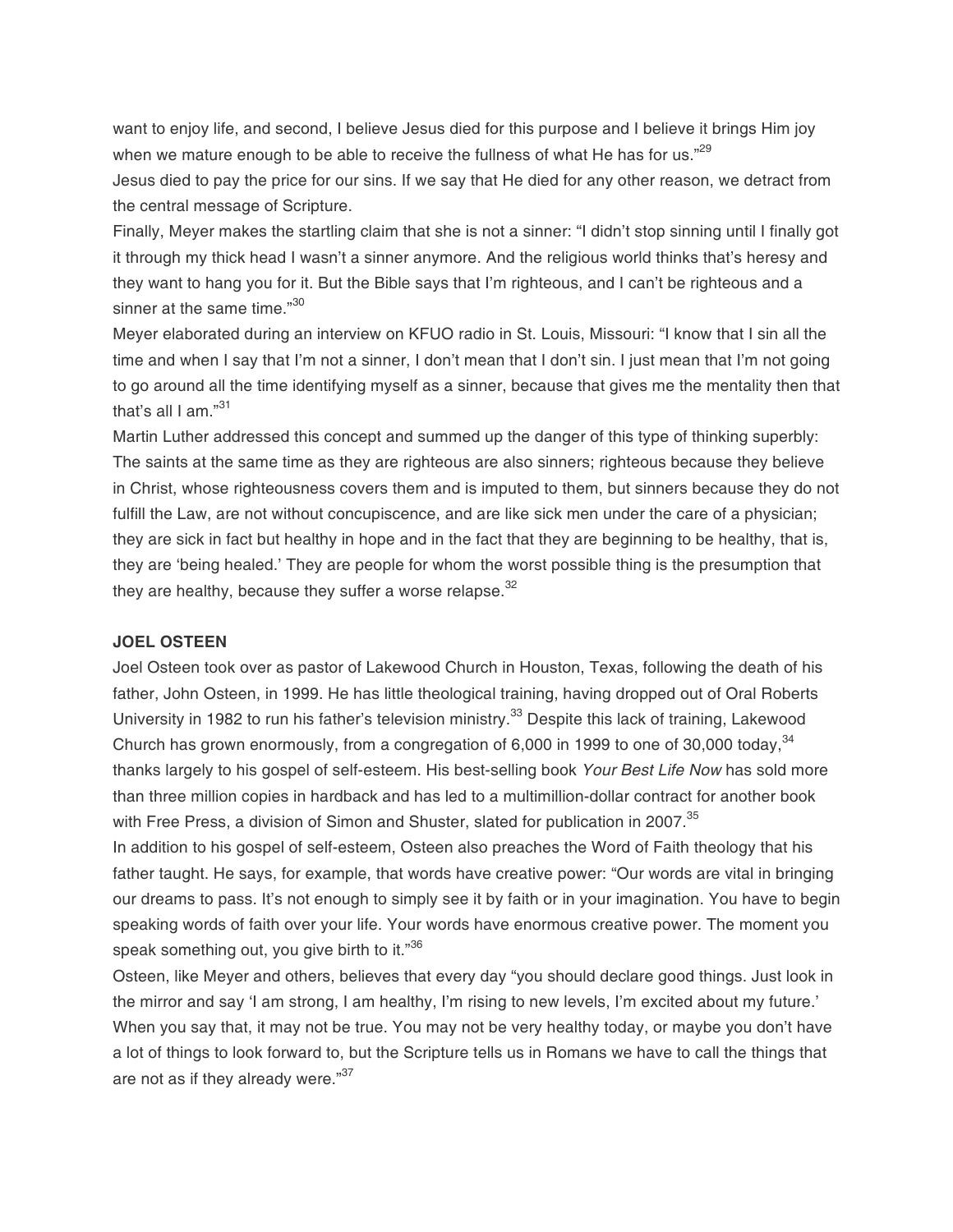want to enjoy life, and second, I believe Jesus died for this purpose and I believe it brings Him joy when we mature enough to be able to receive the fullness of what He has for us." $2^{\frac{29}{2}}$ 

Jesus died to pay the price for our sins. If we say that He died for any other reason, we detract from the central message of Scripture.

Finally, Meyer makes the startling claim that she is not a sinner: "I didn't stop sinning until I finally got it through my thick head I wasn't a sinner anymore. And the religious world thinks that's heresy and they want to hang you for it. But the Bible says that I'm righteous, and I can't be righteous and a sinner at the same time."<sup>30</sup>

Meyer elaborated during an interview on KFUO radio in St. Louis, Missouri: "I know that I sin all the time and when I say that I'm not a sinner, I don't mean that I don't sin. I just mean that I'm not going to go around all the time identifying myself as a sinner, because that gives me the mentality then that that's all I am."<sup>31</sup>

Martin Luther addressed this concept and summed up the danger of this type of thinking superbly: The saints at the same time as they are righteous are also sinners; righteous because they believe in Christ, whose righteousness covers them and is imputed to them, but sinners because they do not fulfill the Law, are not without concupiscence, and are like sick men under the care of a physician; they are sick in fact but healthy in hope and in the fact that they are beginning to be healthy, that is, they are 'being healed.' They are people for whom the worst possible thing is the presumption that they are healthy, because they suffer a worse relapse.  $32$ 

#### **JOEL OSTEEN**

Joel Osteen took over as pastor of Lakewood Church in Houston, Texas, following the death of his father, John Osteen, in 1999. He has little theological training, having dropped out of Oral Roberts University in 1982 to run his father's television ministry.<sup>33</sup> Despite this lack of training, Lakewood Church has grown enormously, from a congregation of 6,000 in 1999 to one of 30,000 today,  $34$ thanks largely to his gospel of self-esteem. His best-selling book Your Best Life Now has sold more than three million copies in hardback and has led to a multimillion-dollar contract for another book with Free Press, a division of Simon and Shuster, slated for publication in 2007.<sup>35</sup>

In addition to his gospel of self-esteem, Osteen also preaches the Word of Faith theology that his father taught. He says, for example, that words have creative power: "Our words are vital in bringing our dreams to pass. It's not enough to simply see it by faith or in your imagination. You have to begin speaking words of faith over your life. Your words have enormous creative power. The moment you speak something out, you give birth to it."36

Osteen, like Meyer and others, believes that every day "you should declare good things. Just look in the mirror and say 'I am strong, I am healthy, I'm rising to new levels, I'm excited about my future.' When you say that, it may not be true. You may not be very healthy today, or maybe you don't have a lot of things to look forward to, but the Scripture tells us in Romans we have to call the things that are not as if they already were."<sup>37</sup>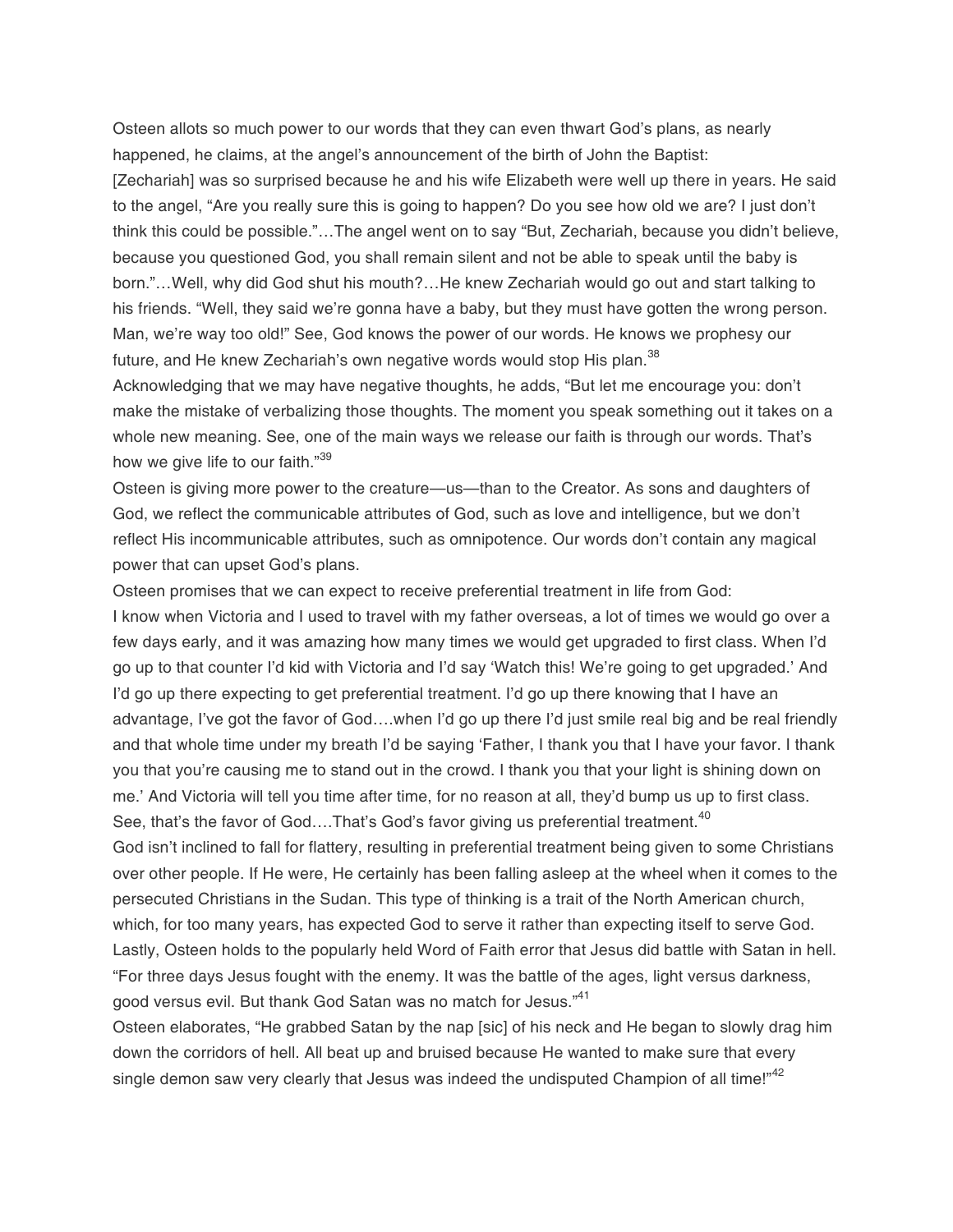Osteen allots so much power to our words that they can even thwart God's plans, as nearly happened, he claims, at the angel's announcement of the birth of John the Baptist: [Zechariah] was so surprised because he and his wife Elizabeth were well up there in years. He said to the angel, "Are you really sure this is going to happen? Do you see how old we are? I just don't think this could be possible."…The angel went on to say "But, Zechariah, because you didn't believe, because you questioned God, you shall remain silent and not be able to speak until the baby is born."…Well, why did God shut his mouth?…He knew Zechariah would go out and start talking to his friends. "Well, they said we're gonna have a baby, but they must have gotten the wrong person. Man, we're way too old!" See, God knows the power of our words. He knows we prophesy our future, and He knew Zechariah's own negative words would stop His plan.<sup>38</sup>

Acknowledging that we may have negative thoughts, he adds, "But let me encourage you: don't make the mistake of verbalizing those thoughts. The moment you speak something out it takes on a whole new meaning. See, one of the main ways we release our faith is through our words. That's how we give life to our faith."<sup>39</sup>

Osteen is giving more power to the creature—us—than to the Creator. As sons and daughters of God, we reflect the communicable attributes of God, such as love and intelligence, but we don't reflect His incommunicable attributes, such as omnipotence. Our words don't contain any magical power that can upset God's plans.

Osteen promises that we can expect to receive preferential treatment in life from God: I know when Victoria and I used to travel with my father overseas, a lot of times we would go over a few days early, and it was amazing how many times we would get upgraded to first class. When I'd go up to that counter I'd kid with Victoria and I'd say 'Watch this! We're going to get upgraded.' And I'd go up there expecting to get preferential treatment. I'd go up there knowing that I have an advantage, I've got the favor of God….when I'd go up there I'd just smile real big and be real friendly and that whole time under my breath I'd be saying 'Father, I thank you that I have your favor. I thank you that you're causing me to stand out in the crowd. I thank you that your light is shining down on me.' And Victoria will tell you time after time, for no reason at all, they'd bump us up to first class. See, that's the favor of God....That's God's favor giving us preferential treatment.<sup>40</sup>

God isn't inclined to fall for flattery, resulting in preferential treatment being given to some Christians over other people. If He were, He certainly has been falling asleep at the wheel when it comes to the persecuted Christians in the Sudan. This type of thinking is a trait of the North American church, which, for too many years, has expected God to serve it rather than expecting itself to serve God. Lastly, Osteen holds to the popularly held Word of Faith error that Jesus did battle with Satan in hell. "For three days Jesus fought with the enemy. It was the battle of the ages, light versus darkness, good versus evil. But thank God Satan was no match for Jesus."<sup>41</sup>

Osteen elaborates, "He grabbed Satan by the nap [sic] of his neck and He began to slowly drag him down the corridors of hell. All beat up and bruised because He wanted to make sure that every single demon saw very clearly that Jesus was indeed the undisputed Champion of all time!"<sup>42</sup>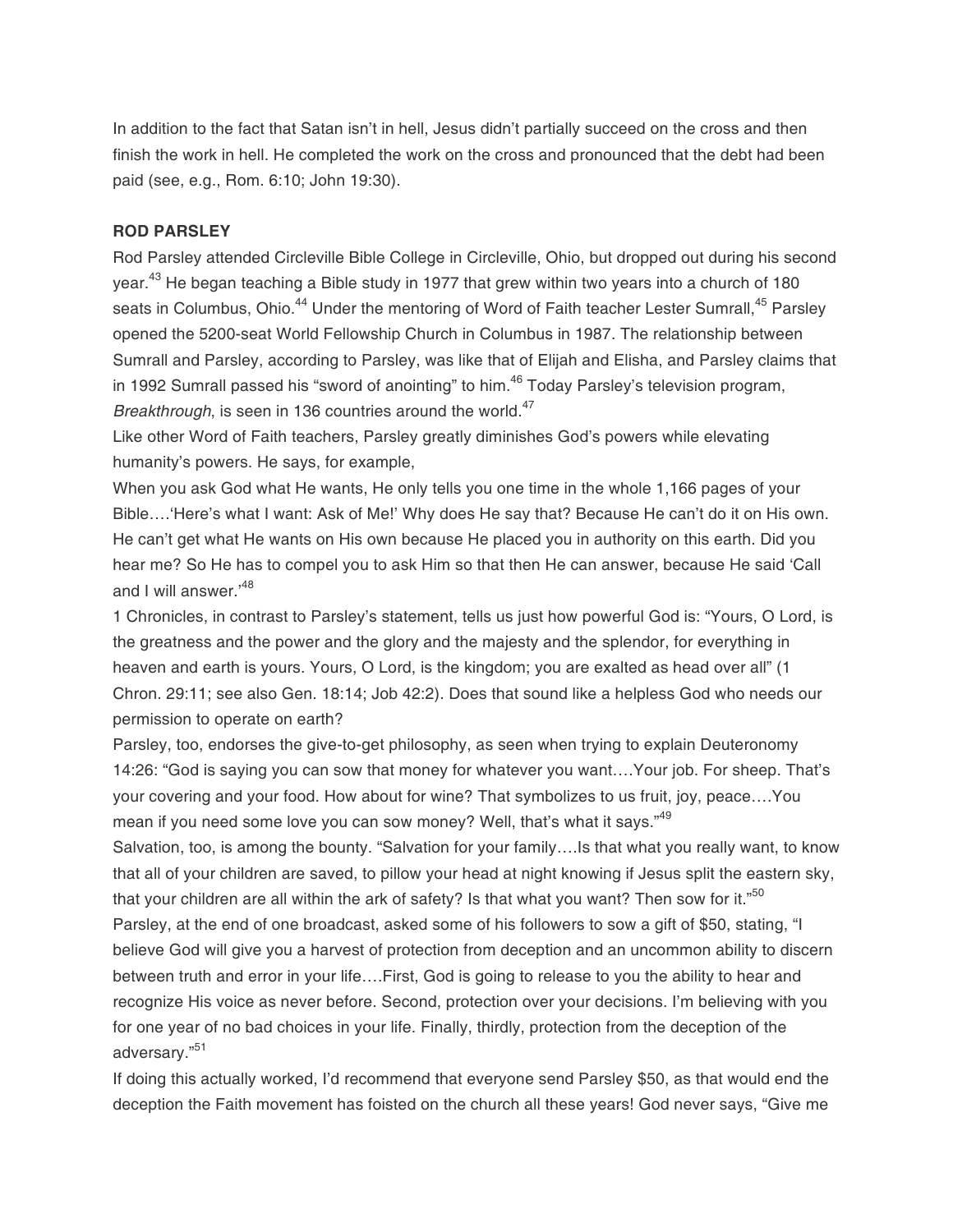In addition to the fact that Satan isn't in hell, Jesus didn't partially succeed on the cross and then finish the work in hell. He completed the work on the cross and pronounced that the debt had been paid (see, e.g., Rom. 6:10; John 19:30).

#### **ROD PARSLEY**

Rod Parsley attended Circleville Bible College in Circleville, Ohio, but dropped out during his second year.<sup>43</sup> He began teaching a Bible study in 1977 that grew within two years into a church of 180 seats in Columbus, Ohio.<sup>44</sup> Under the mentoring of Word of Faith teacher Lester Sumrall,<sup>45</sup> Parsley opened the 5200-seat World Fellowship Church in Columbus in 1987. The relationship between Sumrall and Parsley, according to Parsley, was like that of Elijah and Elisha, and Parsley claims that in 1992 Sumrall passed his "sword of anointing" to him.<sup>46</sup> Today Parsley's television program, Breakthrough, is seen in 136 countries around the world.<sup>47</sup>

Like other Word of Faith teachers, Parsley greatly diminishes God's powers while elevating humanity's powers. He says, for example,

When you ask God what He wants, He only tells you one time in the whole 1,166 pages of your Bible....'Here's what I want: Ask of Me!' Why does He say that? Because He can't do it on His own. He can't get what He wants on His own because He placed you in authority on this earth. Did you hear me? So He has to compel you to ask Him so that then He can answer, because He said 'Call and I will answer.<sup>48</sup>

1 Chronicles, in contrast to Parsley's statement, tells us just how powerful God is: "Yours, O Lord, is the greatness and the power and the glory and the majesty and the splendor, for everything in heaven and earth is yours. Yours, O Lord, is the kingdom; you are exalted as head over all" (1 Chron. 29:11; see also Gen. 18:14; Job 42:2). Does that sound like a helpless God who needs our permission to operate on earth?

Parsley, too, endorses the give-to-get philosophy, as seen when trying to explain Deuteronomy 14:26: "God is saying you can sow that money for whatever you want….Your job. For sheep. That's your covering and your food. How about for wine? That symbolizes to us fruit, joy, peace….You mean if you need some love you can sow money? Well, that's what it savs."<sup>49</sup>

Salvation, too, is among the bounty. "Salvation for your family….Is that what you really want, to know that all of your children are saved, to pillow your head at night knowing if Jesus split the eastern sky, that your children are all within the ark of safety? Is that what you want? Then sow for it."<sup>50</sup> Parsley, at the end of one broadcast, asked some of his followers to sow a gift of \$50, stating, "I believe God will give you a harvest of protection from deception and an uncommon ability to discern between truth and error in your life….First, God is going to release to you the ability to hear and recognize His voice as never before. Second, protection over your decisions. I'm believing with you for one year of no bad choices in your life. Finally, thirdly, protection from the deception of the adversary."<sup>51</sup>

If doing this actually worked, I'd recommend that everyone send Parsley \$50, as that would end the deception the Faith movement has foisted on the church all these years! God never says, "Give me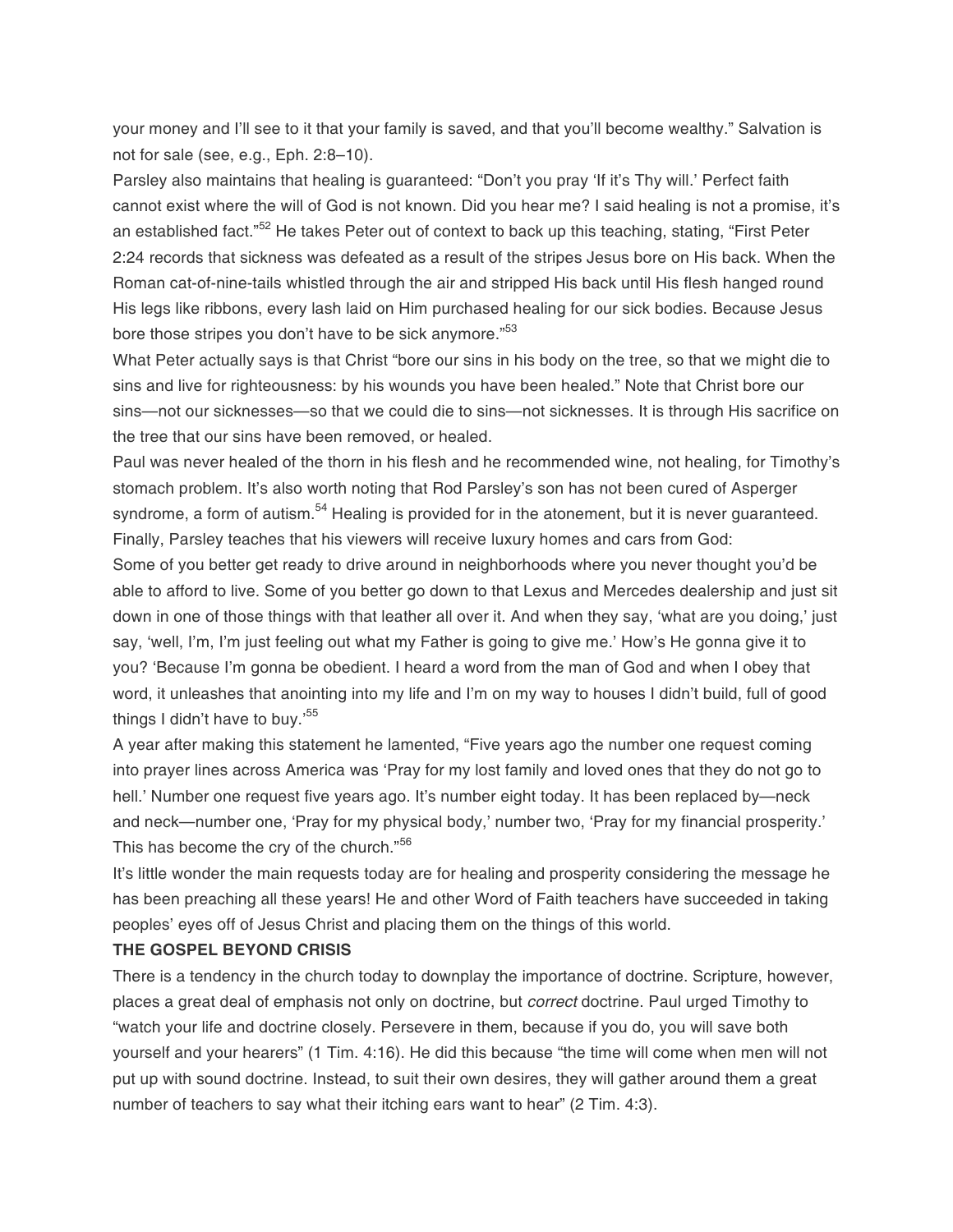your money and I'll see to it that your family is saved, and that you'll become wealthy." Salvation is not for sale (see, e.g., Eph. 2:8–10).

Parsley also maintains that healing is guaranteed: "Don't you pray 'If it's Thy will.' Perfect faith cannot exist where the will of God is not known. Did you hear me? I said healing is not a promise, it's an established fact."<sup>52</sup> He takes Peter out of context to back up this teaching, stating, "First Peter 2:24 records that sickness was defeated as a result of the stripes Jesus bore on His back. When the Roman cat-of-nine-tails whistled through the air and stripped His back until His flesh hanged round His legs like ribbons, every lash laid on Him purchased healing for our sick bodies. Because Jesus bore those stripes you don't have to be sick anymore."<sup>53</sup>

What Peter actually says is that Christ "bore our sins in his body on the tree, so that we might die to sins and live for righteousness: by his wounds you have been healed." Note that Christ bore our sins—not our sicknesses—so that we could die to sins—not sicknesses. It is through His sacrifice on the tree that our sins have been removed, or healed.

Paul was never healed of the thorn in his flesh and he recommended wine, not healing, for Timothy's stomach problem. It's also worth noting that Rod Parsley's son has not been cured of Asperger syndrome, a form of autism.<sup>54</sup> Healing is provided for in the atonement, but it is never guaranteed. Finally, Parsley teaches that his viewers will receive luxury homes and cars from God:

Some of you better get ready to drive around in neighborhoods where you never thought you'd be able to afford to live. Some of you better go down to that Lexus and Mercedes dealership and just sit down in one of those things with that leather all over it. And when they say, 'what are you doing,' just say, 'well, I'm, I'm just feeling out what my Father is going to give me.' How's He gonna give it to you? 'Because I'm gonna be obedient. I heard a word from the man of God and when I obey that word, it unleashes that anointing into my life and I'm on my way to houses I didn't build, full of good things I didn't have to buy.'<sup>55</sup>

A year after making this statement he lamented, "Five years ago the number one request coming into prayer lines across America was 'Pray for my lost family and loved ones that they do not go to hell.' Number one request five years ago. It's number eight today. It has been replaced by-neck and neck—number one, 'Pray for my physical body,' number two, 'Pray for my financial prosperity.' This has become the cry of the church."<sup>56</sup>

It's little wonder the main requests today are for healing and prosperity considering the message he has been preaching all these years! He and other Word of Faith teachers have succeeded in taking peoples' eyes off of Jesus Christ and placing them on the things of this world.

#### **THE GOSPEL BEYOND CRISIS**

There is a tendency in the church today to downplay the importance of doctrine. Scripture, however, places a great deal of emphasis not only on doctrine, but *correct* doctrine. Paul urged Timothy to "watch your life and doctrine closely. Persevere in them, because if you do, you will save both yourself and your hearers" (1 Tim. 4:16). He did this because "the time will come when men will not put up with sound doctrine. Instead, to suit their own desires, they will gather around them a great number of teachers to say what their itching ears want to hear" (2 Tim. 4:3).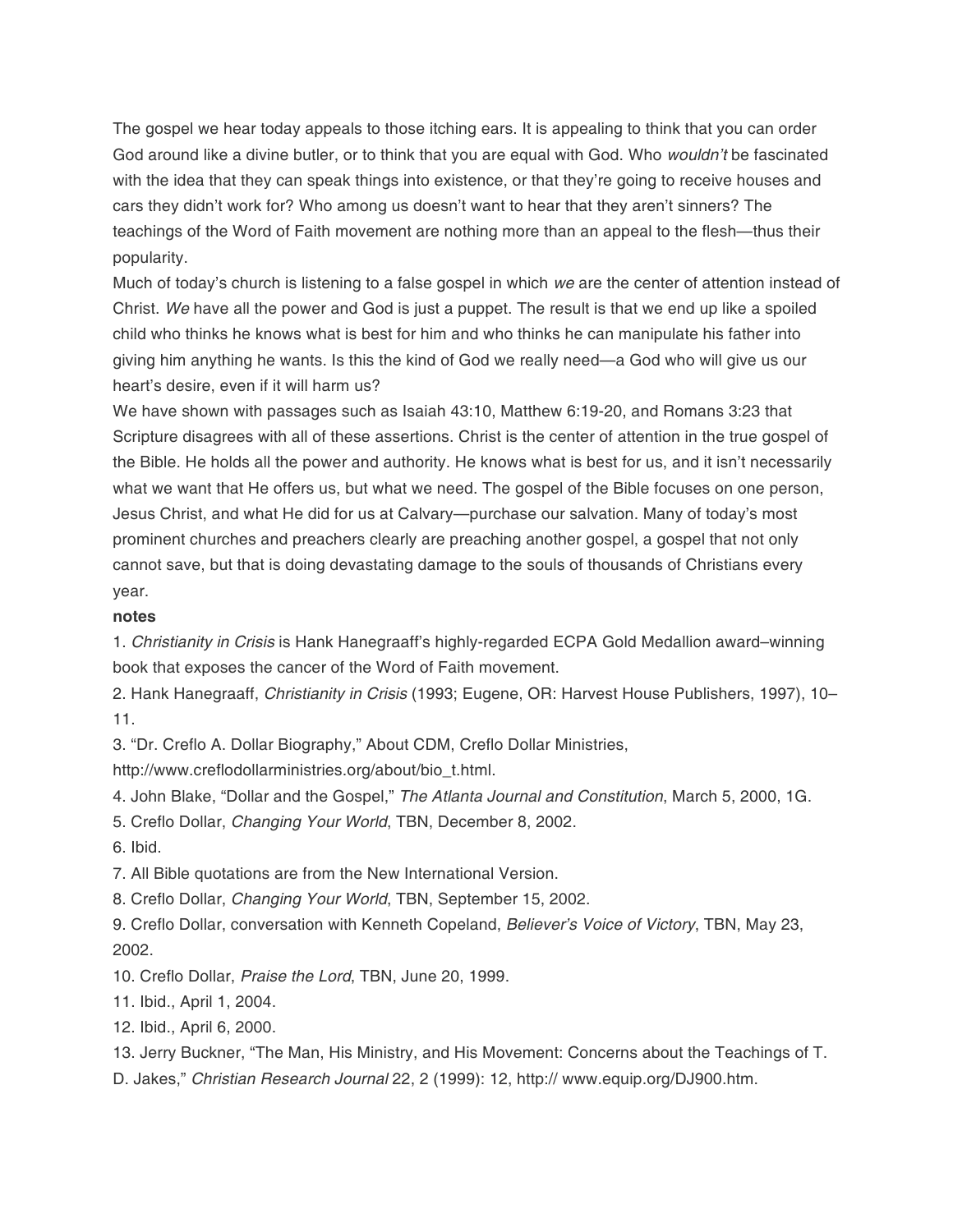The gospel we hear today appeals to those itching ears. It is appealing to think that you can order God around like a divine butler, or to think that you are equal with God. Who wouldn't be fascinated with the idea that they can speak things into existence, or that they're going to receive houses and cars they didn't work for? Who among us doesn't want to hear that they aren't sinners? The teachings of the Word of Faith movement are nothing more than an appeal to the flesh—thus their popularity.

Much of today's church is listening to a false gospel in which we are the center of attention instead of Christ. We have all the power and God is just a puppet. The result is that we end up like a spoiled child who thinks he knows what is best for him and who thinks he can manipulate his father into giving him anything he wants. Is this the kind of God we really need—a God who will give us our heart's desire, even if it will harm us?

We have shown with passages such as Isaiah 43:10, Matthew 6:19-20, and Romans 3:23 that Scripture disagrees with all of these assertions. Christ is the center of attention in the true gospel of the Bible. He holds all the power and authority. He knows what is best for us, and it isn't necessarily what we want that He offers us, but what we need. The gospel of the Bible focuses on one person, Jesus Christ, and what He did for us at Calvary—purchase our salvation. Many of today's most prominent churches and preachers clearly are preaching another gospel, a gospel that not only cannot save, but that is doing devastating damage to the souls of thousands of Christians every year.

#### **notes**

1. Christianity in Crisis is Hank Hanegraaff's highly-regarded ECPA Gold Medallion award–winning book that exposes the cancer of the Word of Faith movement.

2. Hank Hanegraaff, Christianity in Crisis (1993; Eugene, OR: Harvest House Publishers, 1997), 10– 11.

3. "Dr. Creflo A. Dollar Biography," About CDM, Creflo Dollar Ministries,

http://www.creflodollarministries.org/about/bio\_t.html.

4. John Blake, "Dollar and the Gospel," The Atlanta Journal and Constitution, March 5, 2000, 1G.

5. Creflo Dollar, Changing Your World, TBN, December 8, 2002.

6. Ibid.

7. All Bible quotations are from the New International Version.

8. Creflo Dollar, Changing Your World, TBN, September 15, 2002.

9. Creflo Dollar, conversation with Kenneth Copeland, Believer's Voice of Victory, TBN, May 23, 2002.

10. Creflo Dollar, Praise the Lord, TBN, June 20, 1999.

11. Ibid., April 1, 2004.

12. Ibid., April 6, 2000.

13. Jerry Buckner, "The Man, His Ministry, and His Movement: Concerns about the Teachings of T.

D. Jakes," Christian Research Journal 22, 2 (1999): 12, http:// www.equip.org/DJ900.htm.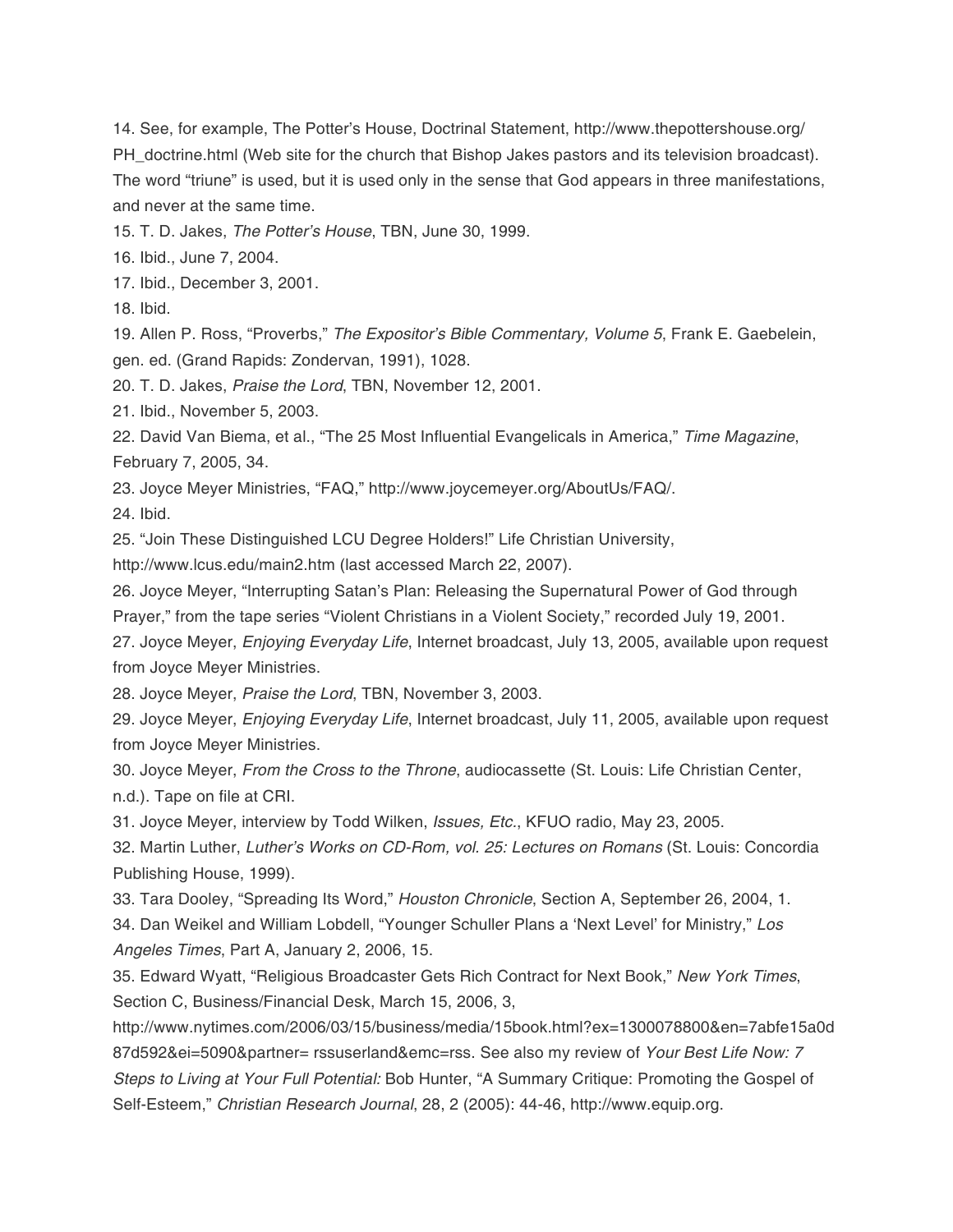14. See, for example, The Potter's House, Doctrinal Statement, http://www.thepottershouse.org/ PH\_doctrine.html (Web site for the church that Bishop Jakes pastors and its television broadcast). The word "triune" is used, but it is used only in the sense that God appears in three manifestations, and never at the same time.

15. T. D. Jakes, The Potter's House, TBN, June 30, 1999.

16. Ibid., June 7, 2004.

17. Ibid., December 3, 2001.

18. Ibid.

19. Allen P. Ross, "Proverbs," The Expositor's Bible Commentary, Volume 5, Frank E. Gaebelein, gen. ed. (Grand Rapids: Zondervan, 1991), 1028.

20. T. D. Jakes, Praise the Lord, TBN, November 12, 2001.

21. Ibid., November 5, 2003.

22. David Van Biema, et al., "The 25 Most Influential Evangelicals in America," Time Magazine, February 7, 2005, 34.

23. Joyce Meyer Ministries, "FAQ," http://www.joycemeyer.org/AboutUs/FAQ/.

24. Ibid.

25. "Join These Distinguished LCU Degree Holders!" Life Christian University,

http://www.lcus.edu/main2.htm (last accessed March 22, 2007).

26. Joyce Meyer, "Interrupting Satan's Plan: Releasing the Supernatural Power of God through Prayer," from the tape series "Violent Christians in a Violent Society," recorded July 19, 2001. 27. Joyce Meyer, Enjoying Everyday Life, Internet broadcast, July 13, 2005, available upon request

from Joyce Meyer Ministries.

28. Joyce Meyer, Praise the Lord, TBN, November 3, 2003.

29. Joyce Meyer, Enjoying Everyday Life, Internet broadcast, July 11, 2005, available upon request from Joyce Meyer Ministries.

30. Joyce Meyer, From the Cross to the Throne, audiocassette (St. Louis: Life Christian Center, n.d.). Tape on file at CRI.

31. Joyce Meyer, interview by Todd Wilken, Issues, Etc., KFUO radio, May 23, 2005.

32. Martin Luther, Luther's Works on CD-Rom, vol. 25: Lectures on Romans (St. Louis: Concordia Publishing House, 1999).

33. Tara Dooley, "Spreading Its Word," Houston Chronicle, Section A, September 26, 2004, 1. 34. Dan Weikel and William Lobdell, "Younger Schuller Plans a 'Next Level' for Ministry," Los Angeles Times, Part A, January 2, 2006, 15.

35. Edward Wyatt, "Religious Broadcaster Gets Rich Contract for Next Book," New York Times, Section C, Business/Financial Desk, March 15, 2006, 3,

http://www.nytimes.com/2006/03/15/business/media/15book.html?ex=1300078800&en=7abfe15a0d 87d592&ei=5090&partner= rssuserland&emc=rss. See also my review of Your Best Life Now: 7 Steps to Living at Your Full Potential: Bob Hunter, "A Summary Critique: Promoting the Gospel of Self-Esteem," Christian Research Journal, 28, 2 (2005): 44-46, http://www.equip.org.